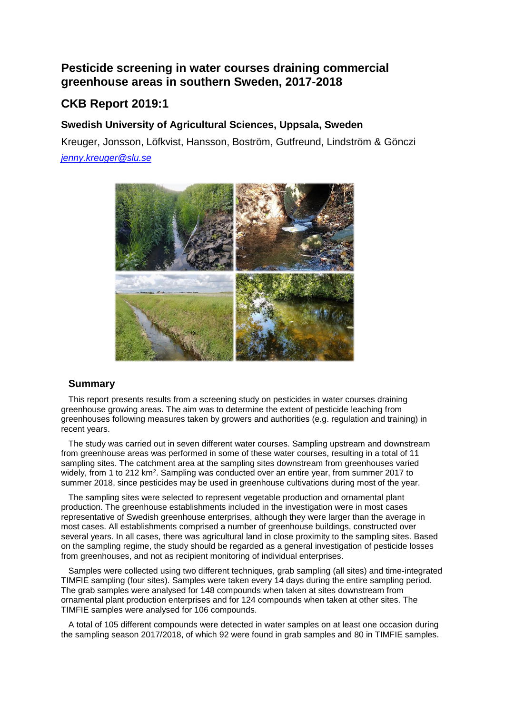## **Pesticide screening in water courses draining commercial greenhouse areas in southern Sweden, 2017-2018**

## **CKB Report 2019:1**

## **Swedish University of Agricultural Sciences, Uppsala, Sweden**

Kreuger, Jonsson, Löfkvist, Hansson, Boström, Gutfreund, Lindström & Gönczi *[jenny.kreuger@slu.se](mailto:jenny.kreuger@slu.se)*



## **Summary**

This report presents results from a screening study on pesticides in water courses draining greenhouse growing areas. The aim was to determine the extent of pesticide leaching from greenhouses following measures taken by growers and authorities (e.g. regulation and training) in recent years.

The study was carried out in seven different water courses. Sampling upstream and downstream from greenhouse areas was performed in some of these water courses, resulting in a total of 11 sampling sites. The catchment area at the sampling sites downstream from greenhouses varied widely, from 1 to 212 km<sup>2</sup>. Sampling was conducted over an entire year, from summer 2017 to summer 2018, since pesticides may be used in greenhouse cultivations during most of the year.

The sampling sites were selected to represent vegetable production and ornamental plant production. The greenhouse establishments included in the investigation were in most cases representative of Swedish greenhouse enterprises, although they were larger than the average in most cases. All establishments comprised a number of greenhouse buildings, constructed over several years. In all cases, there was agricultural land in close proximity to the sampling sites. Based on the sampling regime, the study should be regarded as a general investigation of pesticide losses from greenhouses, and not as recipient monitoring of individual enterprises.

Samples were collected using two different techniques, grab sampling (all sites) and time-integrated TIMFIE sampling (four sites). Samples were taken every 14 days during the entire sampling period. The grab samples were analysed for 148 compounds when taken at sites downstream from ornamental plant production enterprises and for 124 compounds when taken at other sites. The TIMFIE samples were analysed for 106 compounds.

A total of 105 different compounds were detected in water samples on at least one occasion during the sampling season 2017/2018, of which 92 were found in grab samples and 80 in TIMFIE samples.